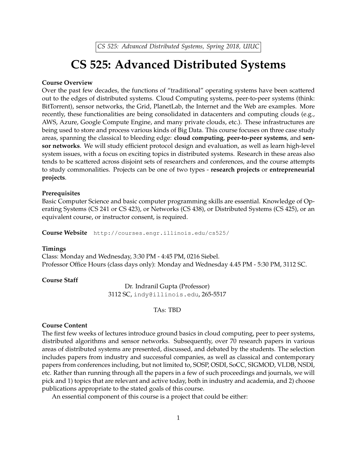*CS 525: Advanced Distributed Systems, Spring 2018, UIUC*

# **CS 525: Advanced Distributed Systems**

## **Course Overview**

Over the past few decades, the functions of "traditional" operating systems have been scattered out to the edges of distributed systems. Cloud Computing systems, peer-to-peer systems (think: BitTorrent), sensor networks, the Grid, PlanetLab, the Internet and the Web are examples. More recently, these functionalities are being consolidated in datacenters and computing clouds (e.g., AWS, Azure, Google Compute Engine, and many private clouds, etc.). These infrastructures are being used to store and process various kinds of Big Data. This course focuses on three case study areas, spanning the classical to bleeding edge: **cloud computing**, **peer-to-peer systems**, and **sensor networks**. We will study efficient protocol design and evaluation, as well as learn high-level system issues, with a focus on exciting topics in distributed systems. Research in these areas also tends to be scattered across disjoint sets of researchers and conferences, and the course attempts to study commonalities. Projects can be one of two types - **research projects** or **entrepreneurial projects**.

### **Prerequisites**

Basic Computer Science and basic computer programming skills are essential. Knowledge of Operating Systems (CS 241 or CS 423), or Networks (CS 438), or Distributed Systems (CS 425), or an equivalent course, or instructor consent, is required.

**Course Website** http://courses.engr.illinois.edu/cs525/

#### **Timings**

Class: Monday and Wednesday, 3:30 PM - 4:45 PM, 0216 Siebel. Professor Office Hours (class days only): Monday and Wednesday 4.45 PM - 5:30 PM, 3112 SC.

## **Course Staff**

Dr. Indranil Gupta (Professor) 3112 SC, indy@illinois.edu, 265-5517

# TAs: TBD

# **Course Content**

The first few weeks of lectures introduce ground basics in cloud computing, peer to peer systems, distributed algorithms and sensor networks. Subsequently, over 70 research papers in various areas of distributed systems are presented, discussed, and debated by the students. The selection includes papers from industry and successful companies, as well as classical and contemporary papers from conferences including, but not limited to, SOSP, OSDI, SoCC, SIGMOD, VLDB, NSDI, etc. Rather than running through all the papers in a few of such proceedings and journals, we will pick and 1) topics that are relevant and active today, both in industry and academia, and 2) choose publications appropriate to the stated goals of this course.

An essential component of this course is a project that could be either: